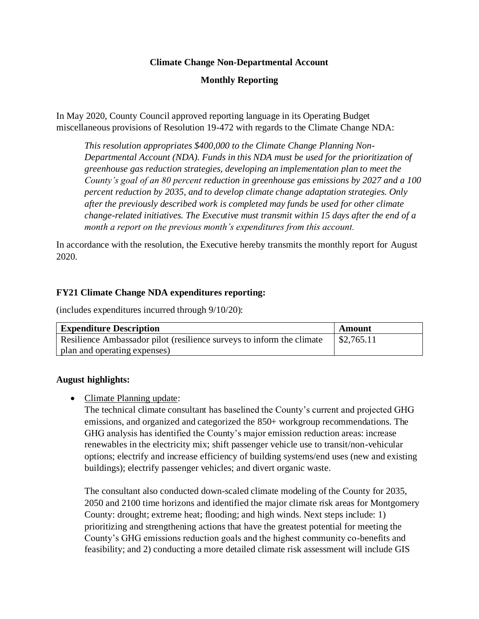# **Climate Change Non-Departmental Account**

# **Monthly Reporting**

In May 2020, County Council approved reporting language in its Operating Budget miscellaneous provisions of Resolution 19-472 with regards to the Climate Change NDA:

*This resolution appropriates \$400,000 to the Climate Change Planning Non-Departmental Account (NDA). Funds in this NDA must be used for the prioritization of greenhouse gas reduction strategies, developing an implementation plan to meet the County's goal of an 80 percent reduction in greenhouse gas emissions by 2027 and a 100 percent reduction by 2035, and to develop climate change adaptation strategies. Only after the previously described work is completed may funds be used for other climate change-related initiatives. The Executive must transmit within 15 days after the end of a month a report on the previous month's expenditures from this account.*

In accordance with the resolution, the Executive hereby transmits the monthly report for August 2020.

## **FY21 Climate Change NDA expenditures reporting:**

(includes expenditures incurred through 9/10/20):

| <b>Expenditure Description</b>                                        | Amount                |
|-----------------------------------------------------------------------|-----------------------|
| Resilience Ambassador pilot (resilience surveys to inform the climate | $\frac{$2,765.11}{ }$ |
| plan and operating expenses)                                          |                       |

#### **August highlights:**

• Climate Planning update:

The technical climate consultant has baselined the County's current and projected GHG emissions, and organized and categorized the 850+ workgroup recommendations. The GHG analysis has identified the County's major emission reduction areas: increase renewables in the electricity mix; shift passenger vehicle use to transit/non-vehicular options; electrify and increase efficiency of building systems/end uses (new and existing buildings); electrify passenger vehicles; and divert organic waste.

The consultant also conducted down-scaled climate modeling of the County for 2035, 2050 and 2100 time horizons and identified the major climate risk areas for Montgomery County: drought; extreme heat; flooding; and high winds. Next steps include: 1) prioritizing and strengthening actions that have the greatest potential for meeting the County's GHG emissions reduction goals and the highest community co-benefits and feasibility; and 2) conducting a more detailed climate risk assessment will include GIS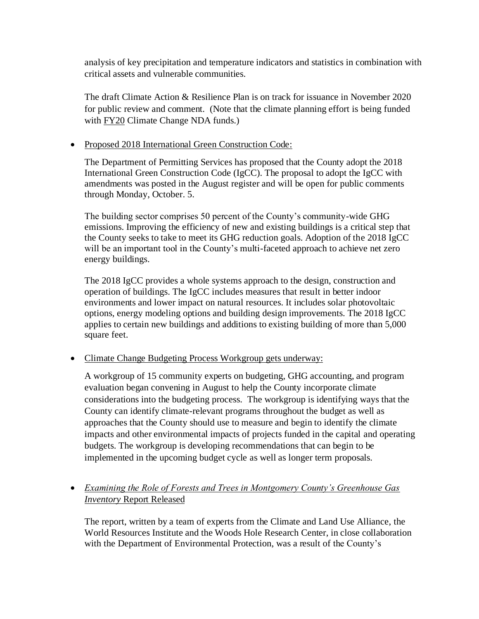analysis of key precipitation and temperature indicators and statistics in combination with critical assets and vulnerable communities.

The draft Climate Action & Resilience Plan is on track for issuance in November 2020 for public review and comment. (Note that the climate planning effort is being funded with FY20 Climate Change NDA funds.)

# • Proposed 2018 International Green Construction Code:

The Department of Permitting Services has proposed that the County adopt the 2018 International Green Construction Code (IgCC). The proposal to adopt the IgCC with amendments was posted in the August register and will be open for public comments through Monday, October. 5.

The building sector comprises 50 percent of the County's community-wide GHG emissions. Improving the efficiency of new and existing buildings is a critical step that the County seeks to take to meet its GHG reduction goals. Adoption of the 2018 IgCC will be an important tool in the County's multi-faceted approach to achieve net zero energy buildings.

The 2018 IgCC provides a whole systems approach to the design, construction and operation of buildings. The IgCC includes measures that result in better indoor environments and lower impact on natural resources. It includes solar photovoltaic options, energy modeling options and building design improvements. The 2018 IgCC applies to certain new buildings and additions to existing building of more than 5,000 square feet.

• Climate Change Budgeting Process Workgroup gets underway:

A workgroup of 15 community experts on budgeting, GHG accounting, and program evaluation began convening in August to help the County incorporate climate considerations into the budgeting process. The workgroup is identifying ways that the County can identify climate-relevant programs throughout the budget as well as approaches that the County should use to measure and begin to identify the climate impacts and other environmental impacts of projects funded in the capital and operating budgets. The workgroup is developing recommendations that can begin to be implemented in the upcoming budget cycle as well as longer term proposals.

• *Examining the Role of Forests and Trees in Montgomery County's Greenhouse Gas Inventory* Report Released

The report, written by a team of experts from the Climate and Land Use Alliance, the World Resources Institute and the Woods Hole Research Center, in close collaboration with the Department of Environmental Protection, was a result of the County's